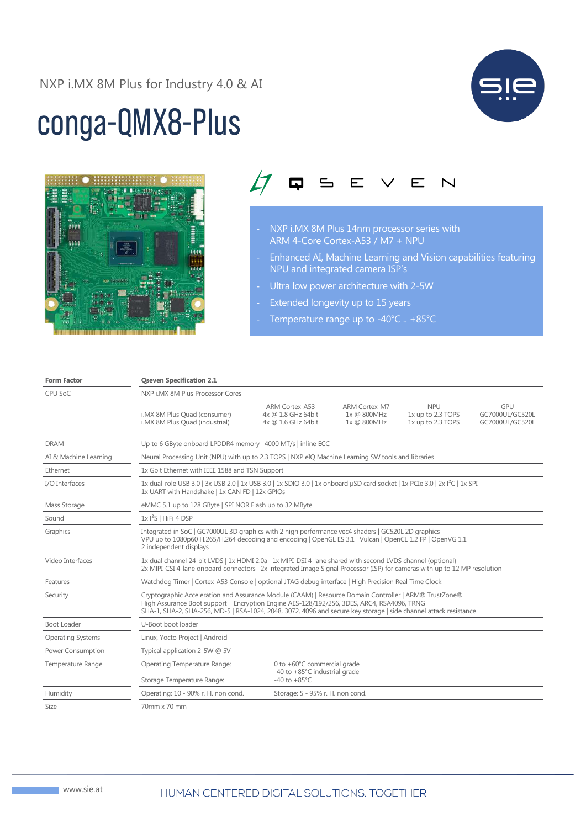## NXP i.MX 8M Plus for Industry 4.0 & AI

## conga-QMX8-Plus





- NXP i.MX 8M Plus 14nm processor series with ARM 4-Core Cortex-A53 / M7 + NPU
- Enhanced AI, Machine Learning and Vision capabilities featuring NPU and integrated camera ISP's
- Ultra low power architecture with 2-5W
- Extended longevity up to 15 years
- Temperature range up to -40°C .. +85°C

| <b>Form Factor</b>       | <b>Qseven Specification 2.1</b>                                                                                                                                                                                                                                                                                         |                                                            |                                                    |                                                      |                                           |  |
|--------------------------|-------------------------------------------------------------------------------------------------------------------------------------------------------------------------------------------------------------------------------------------------------------------------------------------------------------------------|------------------------------------------------------------|----------------------------------------------------|------------------------------------------------------|-------------------------------------------|--|
| CPU SoC                  | NXP i.MX 8M Plus Processor Cores                                                                                                                                                                                                                                                                                        |                                                            |                                                    |                                                      |                                           |  |
|                          | i.MX 8M Plus Quad (consumer)<br>i.MX 8M Plus Ouad (industrial)                                                                                                                                                                                                                                                          | ARM Cortex-A53<br>4x @ 1.8 GHz 64bit<br>4x @ 1.6 GHz 64bit | <b>ARM Cortex-M7</b><br>1x @ 800MHz<br>1x @ 800MHz | <b>NPU</b><br>1x up to 2.3 TOPS<br>1x up to 2.3 TOPS | GPU<br>GC7000UL/GC520L<br>GC7000UL/GC520L |  |
| <b>DRAM</b>              | Up to 6 GByte onboard LPDDR4 memory   4000 MT/s   inline ECC                                                                                                                                                                                                                                                            |                                                            |                                                    |                                                      |                                           |  |
| AI & Machine Learning    | Neural Processing Unit (NPU) with up to 2.3 TOPS   NXP eIO Machine Learning SW tools and libraries                                                                                                                                                                                                                      |                                                            |                                                    |                                                      |                                           |  |
| Ethernet                 | 1x Gbit Ethernet with IEEE 1588 and TSN Support                                                                                                                                                                                                                                                                         |                                                            |                                                    |                                                      |                                           |  |
| I/O Interfaces           | 1x dual-role USB 3.0   3x USB 2.0   1x USB 3.0   1x SDIO 3.0   1x onboard µSD card socket   1x PCIe 3.0   2x I <sup>2</sup> C   1x SPI<br>1x UART with Handshake   1x CAN FD   12x GPIOs                                                                                                                                |                                                            |                                                    |                                                      |                                           |  |
| Mass Storage             | eMMC 5.1 up to 128 GByte   SPI NOR Flash up to 32 MByte                                                                                                                                                                                                                                                                 |                                                            |                                                    |                                                      |                                           |  |
| Sound                    | $1xI2S$   HiFi 4 DSP                                                                                                                                                                                                                                                                                                    |                                                            |                                                    |                                                      |                                           |  |
| Graphics                 | Integrated in SoC   GC7000UL 3D graphics with 2 high performance vec4 shaders   GC520L 2D graphics<br>VPU up to 1080p60 H.265/H.264 decoding and encoding   OpenGL ES 3.1   Vulcan   OpenCL 1.2 FP   OpenVG 1.1<br>2 independent displays                                                                               |                                                            |                                                    |                                                      |                                           |  |
| Video Interfaces         | 1x dual channel 24-bit LVDS   1x HDMI 2.0a   1x MIPI-DSI 4-lane shared with second LVDS channel (optional)<br>2x MIPI-CSI 4-lane onboard connectors   2x integrated Image Signal Processor (ISP) for cameras with up to 12 MP resolution                                                                                |                                                            |                                                    |                                                      |                                           |  |
| Features                 | Watchdog Timer   Cortex-A53 Console   optional JTAG debug interface   High Precision Real Time Clock                                                                                                                                                                                                                    |                                                            |                                                    |                                                      |                                           |  |
| Security                 | Cryptographic Acceleration and Assurance Module (CAAM)   Resource Domain Controller   ARM® TrustZone®<br>High Assurance Boot support   Encryption Engine AES-128/192/256, 3DES, ARC4, RSA4096, TRNG<br>SHA-1, SHA-2, SHA-256, MD-5   RSA-1024, 2048, 3072, 4096 and secure key storage   side channel attack resistance |                                                            |                                                    |                                                      |                                           |  |
| Boot Loader              | U-Boot boot loader                                                                                                                                                                                                                                                                                                      |                                                            |                                                    |                                                      |                                           |  |
| <b>Operating Systems</b> | Linux, Yocto Project   Android                                                                                                                                                                                                                                                                                          |                                                            |                                                    |                                                      |                                           |  |
| Power Consumption        | Typical application 2-5W @ 5V                                                                                                                                                                                                                                                                                           |                                                            |                                                    |                                                      |                                           |  |
| Temperature Range        | Operating Temperature Range:                                                                                                                                                                                                                                                                                            | 0 to +60°C commercial grade                                |                                                    |                                                      |                                           |  |
|                          | Storage Temperature Range:                                                                                                                                                                                                                                                                                              | -40 to +85°C industrial grade<br>$-40$ to $+85^{\circ}$ C  |                                                    |                                                      |                                           |  |
| Humidity                 | Operating: 10 - 90% r. H. non cond.                                                                                                                                                                                                                                                                                     | Storage: 5 - 95% r. H. non cond.                           |                                                    |                                                      |                                           |  |
| <b>Size</b>              | 70mm x 70 mm                                                                                                                                                                                                                                                                                                            |                                                            |                                                    |                                                      |                                           |  |
|                          |                                                                                                                                                                                                                                                                                                                         |                                                            |                                                    |                                                      |                                           |  |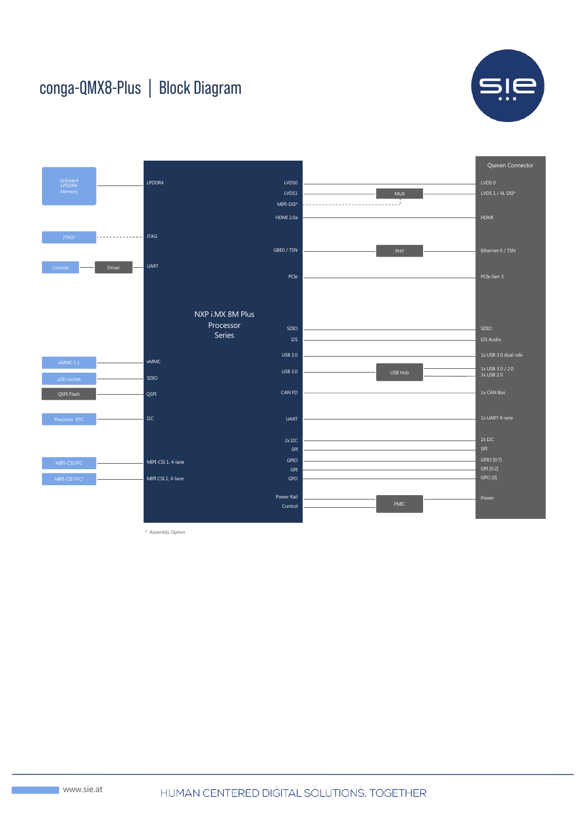## conga-QMX8-Plus | Block Diagram





\* Assembly Option